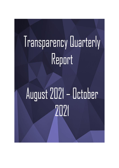## Transparency Quarterly Report

# August 2021 - October 2021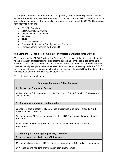This report is to inform the reader of the Transparency/Governance obligations of the Office of the Police and Crime Commissioner (OPCC). The OPCC will publish this information on a quarterly basis, to ensure that the public can review the functions of the OPCC. The areas of focus for this report are:

- PSD Dip Sampling
- CRT/Lower Dissatisfaction
- Chief Constable complaints
- Reviews
- ICVS
- Legally Qualified Chairs
- Freedom of Information / Subject Access Requests
- Trends/Patterns received by the OPCC

#### **Dip Sampling – Schedule 3 complaints – Professional Standards Department**

The purpose of the OPCC Dip Sampling Schedule 3 complaints it that it is a critical function to the reputation of Bedfordshire Police that the public has confidence in the complaints system. To this end, both the Chief Constable and the Police and Crime Commissioner have arranged for 'dip sampling' to be undertaken of complaints. On a monthly basis, the OPCC will request categories of complaints from the Professional Standards Department and when the files have been received will review them in full.

The categories of complaint are:

| <b>Complaint Categories &amp; Sub Categories</b>                                                                                                                                                                                                                                                                                                                        |  |  |  |  |
|-------------------------------------------------------------------------------------------------------------------------------------------------------------------------------------------------------------------------------------------------------------------------------------------------------------------------------------------------------------------------|--|--|--|--|
| $\mathsf{A}$<br><b>Delivery of Duties and Service</b>                                                                                                                                                                                                                                                                                                                   |  |  |  |  |
| A1 Police action following contact / A2 Decisions / A3 Information / A4 General<br>level of service                                                                                                                                                                                                                                                                     |  |  |  |  |
| B<br>Police powers, policies and procedures                                                                                                                                                                                                                                                                                                                             |  |  |  |  |
| <b>B1</b> Stops, & stop & search / <b>B2</b> Searches of premises & seizure of property / <b>B3</b><br>Power to arrest & detain /<br><b>B4</b> Use of force / <b>B5</b> Detention in police custody / <b>B6</b> Bail, identification and interview<br>procedures /<br><b>B7</b> Evidential procedures / <b>B8</b> Out of Court disposals / <b>B9</b> Other policies and |  |  |  |  |
| procedures                                                                                                                                                                                                                                                                                                                                                              |  |  |  |  |
| $\mathbf{C}$<br>Handling of or damage to property / premises                                                                                                                                                                                                                                                                                                            |  |  |  |  |
| Access and / or disclosure of information<br>D                                                                                                                                                                                                                                                                                                                          |  |  |  |  |
| D1 Use of police systems / D2 Disclosure of information / D3 Handling of information /                                                                                                                                                                                                                                                                                  |  |  |  |  |
| D4 Accessing and handling of information from other sources                                                                                                                                                                                                                                                                                                             |  |  |  |  |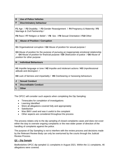| <b>E</b> Use of Police Vehicles |
|---------------------------------|

#### **F Discriminatory behaviour**

**F1** Age / **F2** Disability / **F3** Gender Reassignment / **F4** Pregnancy & Maternity / **F5** Marriage & Civil Partnership /

**F6** Race / **F7** Religion or Belief / **F8** Sex / **F9** Sexual Orientation / **F10** Other

#### **G Abuse of Position / Corruption**

**G1** Organisational corruption / **G2** Abuse of position for sexual purpose /

**G3** Abuse of position for the purpose of pursuing an inappropriate emotional relationship / **G4** Abuse of position for financial purpose / **G5** Obstruction of justice / **G6** Abuse of position for other purpose

#### **H Individual Behaviours**

**H1** Impolite language or tone / **H2** Impolite and intolerant actions / **H3** Unprofessional attitude and disrespect /

**H4** Lack of fairness and impartiality / **H5** Overbearing or harassing behaviours

|                         | <b>Sexual Conduct</b>        |
|-------------------------|------------------------------|
| $\overline{\mathsf{K}}$ | <b>Discreditable Conduct</b> |
|                         | <b>Other</b>                 |

The OPCC will consider such aspects when completing the Dip Sampling:

- Timescales for completion of investigations
- Learning Identified
- Were all allegations covered fully and appropriately
- Satisfaction
- Was BWV used and was it useful to the complaint
- Other aspects are considered throughout the process

The process relates only to the dip sampling of closed complaints cases and does not cover either the duty to oversee ongoing complaints or the new wider power of direction of the handling of complaints against the police.

The purpose of Dip Sampling is not to interfere with the review process and decisions made by the Relevant Review Body can only be overturned by the courts through the Judicial Review Process.

#### **Q2 – Dip Sample**

Bedfordshire OPCC dip sampled 11 complaints in August 2021. Within the 11 complaints, 46 allegations were covered.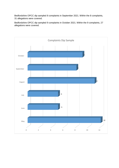Bedfordshire OPCC dip sampled 8 complaints in September 2021. Within the 8 complaints, 31 allegations were covered.

Bedfordshire OPCC dip sampled 9 complaints in October 2021. Within the 9 complaints, 27 allegations were covered.

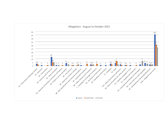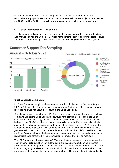Bedfordshire OPCC believe that all complaints dip sampled have been dealt with in a reasonable and proportionate manner – none of the complaints were subject to a review by the OPCC and the OPCC agree with any learning identified within the complaint reports.

#### **CRT/Lower Dissatisfaction – Dip Sample**

The Transparency Team are currently finalising all aspects in regards to the new function and are working with the Customer Services Management Team to ensure feedback is given and fed into future learning. CRT/Dissatisfaction Dip Sampling commenced in August 2021.

Customer Support Complaint Categories Dip Sampled

### **Customer Support Dip Sampling**



### **August - October 2021**

#### **Chief Constable Complaints**

No Chief Constable complaints have been recorded within the second Quarter – August 2021 to October 2021. One complaint was received in September 2021, however was not recorded as it was not about the conduct of the Chief Constable.

Complainants have contacted the OPCC in regards to matters which they deemed to be a complaint against the Chief Constable, however if the complaint is not about the Chief Constables conduct directly, it is not a complaint against the Chief Constable. Complainants believe as the Chief Constable has overall responsibility for the Force, they believe he is accountable and complaints can be made against him. However if the OPCC reviews the allegations made against the Chief Constable Garry Forsyth, and on immediate review of your complaint, the complaint is not regarding the conduct of the Chief Constable and that the Chief Constable has not had any personal involvement into the case and delegates such responsibilities to others within the organisation, a complaint will not be recorded.

The IOPC statutory guidance states 'A.7 There will be times where a complaint names the chief officer or acting chief officer, but the complaint is actually about something where authority has been delegated to another officer or staff member within the force. Where the local policing body receives a complaint for which is it is not the appropriate authority, they must forward the complaint to the appropriate authority. Therefore, where it is immediately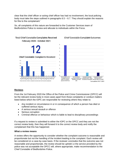clear that the chief officer or acting chief officer has had no involvement, the local policing body must take the steps outlined in paragraphs  $6.5 - 6.7$ . They should explain the reasons for this to the complainant.'

So, all complaints of this nature are forwarded to the Customer Services team of Bedfordshire Police to review and allocate to individuals within the Force.



#### **Chief Constable Complaint Outcomes**

#### **Reviews**

From the 1st February 2020 the Office of the Police and Crime Commissioner (OPCC) will be the relevant review body in most cases apart from those complaints or conduct matters listed below which the IOPC are responsible for reviewing where they relate to:

- Any incident or circumstance in or in consequence of which a person has died or suffered serious injury.
- A serious sexual assault or offence
- Serious corruption
- Criminal offence or behaviour which is liable to lead to disciplinary proceedings

If a request to review is submitted to either the IOPC or the OPCC and they are not the correct review body, then they will forward it to the correct review body and notify the complainant that this has happened.

#### **What a review means**

A review offers the opportunity to consider whether the complaint outcome is reasonable and proportionate but not the handling of the incident leading to the complaint. Each review will be considered on a case-by-case basis. If the reviewer concludes that the outcome was not reasonable and proportionate, the review should be upheld i.e the service provided by the police was not acceptable the OPCC will, where appropriate, make recommendation to the Chief Constable of Bedfordshire Police.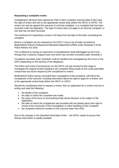#### **Requesting a complaint review**

Complainants will have been advised by PSD in their complaint outcome letter if they have the right of review and who is the appropriate review body (either the OPCC or IOPC). The review can only be against the outcome of a formal complaint, i.e a complaint that has been recorded under the legislation. The right of review does not apply to an informal complaint i.e one that has not been recorded.

The timeframe for requesting a review is 28 days from the date of the letter concluding the complaint.

Before a complaint can be reviewed by the OPCC it has to be formally recorded by Bedfordshire Police's Professional Standards Department (PSD) under Schedule 3 of the Police Reform Act 2002.

This is different to having an expression of dissatisfaction dealt with/logged by the Force through their Customer Support team and which has not been recorded under Schedule 3.

Complaints recorded under Schedule 3 will be handled and investigated by the Force or the IOPC (depending on the severity of the allegation).

The Police and Crime Commissioner nor the OPCC can get involved at this stage or investigate the original incident leading to the complaint being made as this could potentially compromise any future request by the complainant to review.

Bedfordshire Police having concluded their investigation of the complaint, will inform the complainant of the outcome, including information about the right to apply for a review, who is the appropriate review body (either the OPCC or IOPC).

Should the complainant wish to request a review, then an application for a review must be in writing and state the following:

- the details of the complaint;
- the date on which the complaint was made;
- the name of the force or local policing body whose decision is the subject of the application;
- the date on which the complainant was provided with the details about their right of review at the conclusion of the investigation or other handling of their complaint.
- the complaint reference number on the outcome letter from PSD.

Due to the changes in the Specified information Order – the OPCC needs to ensure that Review information is readily available.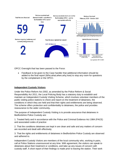

OPCC Oversight that has been passed to the Force:

• Feedback to be given to the Case handler that additional information should be added to the final report (Who,what,when,why,how) to stop any room for questions by the complainant or the OPCC.

#### **Independent Custody Visitors**

Under the Police Reform Act 2002, as amended by the Police Reform & Social Responsibility Act 2011, the Local Policing Body has a statutory duty to establish and maintain an Independent Custody Visiting Scheme, which involves volunteer members of the public visiting police stations to check and report on the treatment of detainees, the conditions in which they are held and that their rights and entitlements are being observed. The scheme offers protection and confidentiality to detainees, the police and provides reassurance to the wider community**.**

The purpose of Independent Custody Visiting is to provide assurance that detainees in Bedfordshire Police Custody are:

1. Treated fairly and in accordance with the Police and Criminal Evidence Act 1984 (PACE) and associated codes of practice

2. That the conditions detainees are kept in are clean and safe and any matters of concern are recorded and dealt with effectively;

3. That the rights and entitlements of detainees in Bedfordshire Police Custody are observed and adhered to.

Independent Custody Visitors are members of the local community who, working in pairs, call at Police Stations unannounced at any time. With agreement, the visitors can speak to detainees about their treatment or conditions, and take up any issues of concern with custody staff. A short report of their findings is made prior to leaving the station. Their work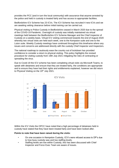provides the PCC (and in turn the local community) with assurance that anyone arrested by the police and held in custody is treated fairly and has access to appropriate facilities.

Bedfordshire ICV Scheme has 23 ICVs. The ICV Scheme has recruited 4 new ICVs and we are awaiting vetting clearance before initial training can be carried out.

Physical visiting to Police Custody in Bedfordshire ceased in March 2020 due to the spread of the COVID-19 Pandemic. Oversight of custody was initially maintained via virtual meetings held between the Bedfordshire ICV Scheme Manager and the Chief Inspector of Custody on a weekly basis. Virtual ICV visiting commenced towards the end of August 2020 whereby two virtual visits are held each week, one to the Kempston suite and one to the Luton suite. Weekly Custody meetings have continued throughout this timeframe where any issues and concerns are addressed directly with the custody Chief Inspector and Inspectors.

The national roadmap to cautiously ease the country out of lockdown has provided confidence to consider a return to physical visiting. This policy highlights the revised procedure for visiting custody from 19th July 2021 mitigating the risks of contracting or spreading the virus.

Due to Covid-19 the ICV scheme has been completing virtual visits via Microsoft Teams, to speak with detainees and ensure that they are treated fairly, the conditions are appropriate and to ensure they have had their rights and entitlements explained, however we did return to Physical Visiting on the 19<sup>th</sup> July 2021.



Within the ICV Visits the OPCC have noted that a high percentage of detainees held in custody have stated that they have been treated fairly and have been looked after.

#### **Points to note that have been raised during the visits:**

- On one occasion in Kempston Custody, ICV's were refused access to DP's due to how busy custody was and low staffing levels.
- Staffing levels are low within Custody, this has been discussed with Chief Inspector and Force Exec Team are aware of issues.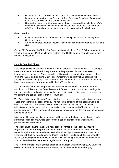- Ready meals and sandwiches best before end and use by dates not always being regularly reviewed by Custody staff – ICV's have found out of date ready meals and sandwiches on a couple of occasions.
- New and updated report form paperwork hasn't been readily available for ICV's on several occasions, this has been discussed with CI and she has informed OPCC this should not be an issue as she has informed staff to bulk print.

#### **Good practice:**

- ICV's have noted on several occasions how helpful staff are, especially when Custody is busy.
- A detainee stated that they "couldn't have been treated any better" to an ICV on a visit.

On the 27<sup>th</sup> September 2021 the ICV Panel meeting took place. The ICVs had a presentation from the Force and OPCC on all things custody. The OPCC hope to return to face to face meeting in December 2021.

#### **Legally Qualified Chairs**

Following a public consultation led by the Home Secretary in the autumn of 2014, changes were made to the police disciplinary system for the purposes of more transparency, independence and justice. These included holding police misconduct hearings in public (from May 2015) and replacing Chief Police Officers who currently chair hearings with Legally Qualified Chairs (LQC) from January 2016. The role and responsibilities of the LQC have been subsequently strengthened in the 2020 regulations.

The Police Misconduct Hearing Panel includes a chair selected from a list of persons appointed by Police & Crime Commissioners (PCCs) to conduct misconduct hearings for special constables and police officers other than senior police officers and is governed by the current and earlier Police Conduct Regulations.

The Police Misconduct Hearing Panel is likely to be convened to hear allegations of serious cases of misconduct by police officers. The maximum outcome at this hearing would be dismissal from the police service without notice. Cases would include for example, allegations of criminal acts, serious road traffic matters such as drink/driving and other serious breaches of the standards of professional behaviour expected of police officers such as neglect of duty.

Misconduct Hearings could also be convened to consider the final stages of action under performance regulations, where police officers can be dismissed for unsatisfactory performance or attendance.

The Misconduct Hearing Panels will hear cases governed by the Police (Conduct) Regulations 2020. For the purposes of this Handbook, all references will be to the 2020 regulations. (It should be noted that cases where investigations commenced prior to 1st February 2020 will be heard under the Police (Conduct) Regulations 2012 (amended by Police (Conduct) (Amendment) Regulations 2014 and 2015). Should this be the case an LQC will be advised of the relevant regulations to be applied.)

The Hearing Panels consist of three persons: The Legally Qualified Chair (LQC), a police officer of the rank of superintendent or above, and an independent member (IM).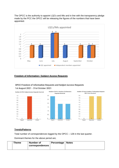The OPCC is the authority to appoint LQCs and IMs and in line with the transparency pledge made by the PCC the OPCC will be releasing the figures of the numbers that have been appointed.

![](_page_11_Figure_1.jpeg)

#### **Freedom of Information / Subject Access Requests**

#### OPCC Freedom of Information Requests and Subject Access Requests 1st August 2021 - 31st October 2021

![](_page_11_Figure_4.jpeg)

#### **Trends/Patterns**

Total number of correspondences logged by the OPCC – 128 in the last quarter.

Dominant themes for the above period are;

|  | <b>Theme</b> | <b>Number of</b><br>correspondences | Percentage   Notes |  |
|--|--------------|-------------------------------------|--------------------|--|
|--|--------------|-------------------------------------|--------------------|--|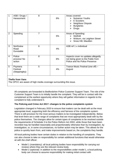| 1              | ASB / Drugs /<br>Harassment                                                                  | 8              | 6% | Areas covered:<br><b>Nuisance Youths</b><br>➤<br>E Scooters<br>➤<br>Neighbour Dispute<br><b>Burglaries</b><br>➤<br><b>Drugs</b><br>➤ |  |
|----------------|----------------------------------------------------------------------------------------------|----------------|----|--------------------------------------------------------------------------------------------------------------------------------------|--|
| $\overline{2}$ | Speeding                                                                                     | $\overline{7}$ | 5% | Areas of Speeding:<br>$\triangleright$ Stotfold<br>Woburn, via Leighton Street<br>≻<br>Snow Hill, Maulden<br>≻                       |  |
| 3              | Northview<br>Road<br>Dunstable                                                               | 6              | 4% | ASB ref 1 x individual                                                                                                               |  |
| 4              | Police<br>process/No<br>action                                                               | 8              | 6% | Aspects cover no updates allegedly<br>not being given to the Public from<br>Police and No Police Presence                            |  |
| 5              | Psymera<br>Festival<br>(Steppingley)                                                         | 5              | 4% | Trance Music Festival (one off) -<br>August                                                                                          |  |
|                | <b>Thefts from Vans</b><br>The OPCC are aware of high media coverage surrounding this issue. |                |    |                                                                                                                                      |  |

All complaints are forwarded to Bedfordshire Police Customer Support Team. The role of the Customer Support Team is to initially handle the complaint. They will be in contact with the complainant at the earliest opportunity where they will gather information in regards to the complaint to fully understand it.

#### **The Policing and Crime Act 2017: changes to the police complaints system**

Legislation changed in February 2020 to ensure that matters can be dealt with at the most appropriate level, supporting both the efficiency and fairness of the complaints system. There is still provision for the most serious matters to be investigated independently. Below that level there are a wide range of complaints that are most appropriately dealt with by the police themselves. The changes allow for certain types of complaints to be resolved outside the requirements of Schedule 3 to the Police Reform Act 2002, while those that have been recorded may be handled reasonably and proportionately otherwise than by investigation, by investigation, or, in some circumstances, no further action may be taken. This allows for the police to quickly learn from, and make improvements based on, the complaints they handle.

All local policing bodies have certain duties in relation to the handling of complaints. They can also choose to take on responsibility for certain additional functions that would otherwise sit with the chief officer:

- Model 1 (mandatory): all local policing bodies have responsibility for carrying out reviews where they are the relevant review body.
- Model 2 (optional): in addition to the responsibilities under model 1, a local policing body can choose to assume responsibility for making initial contact with